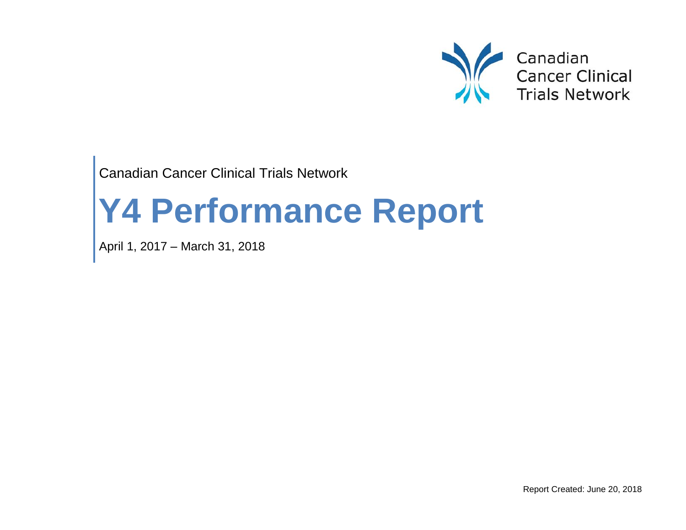

Canadian Cancer Clinical Trials Network

# **Y4 Performance Report**

April 1, 2017 – March 31, 2018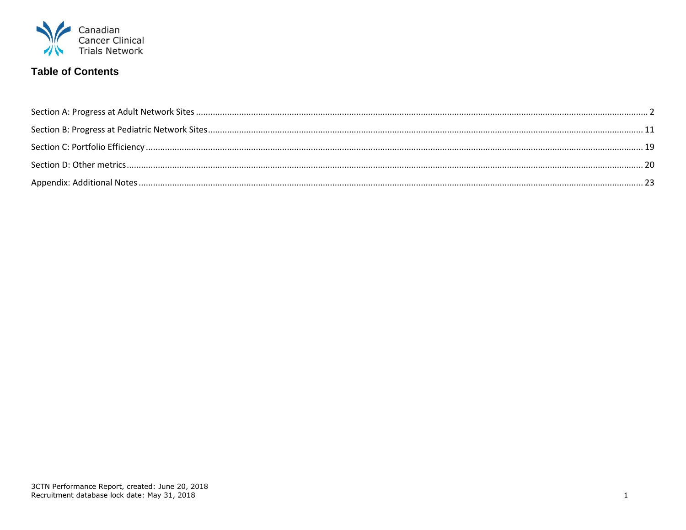

## **Table of Contents**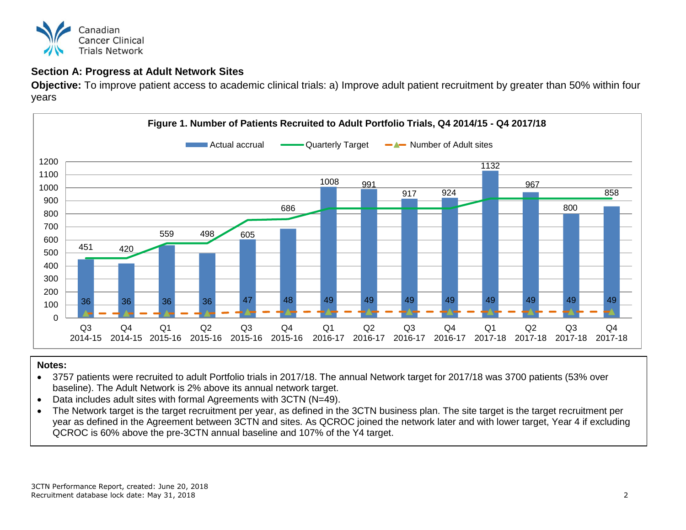

## <span id="page-2-0"></span>**Section A: Progress at Adult Network Sites**

**Objective:** To improve patient access to academic clinical trials: a) Improve adult patient recruitment by greater than 50% within four years



- 3757 patients were recruited to adult Portfolio trials in 2017/18. The annual Network target for 2017/18 was 3700 patients (53% over baseline). The Adult Network is 2% above its annual network target.
- Data includes adult sites with formal Agreements with 3CTN (N=49).
- The Network target is the target recruitment per year, as defined in the 3CTN business plan. The site target is the target recruitment per year as defined in the Agreement between 3CTN and sites. As QCROC joined the network later and with lower target, Year 4 if excluding QCROC is 60% above the pre-3CTN annual baseline and 107% of the Y4 target.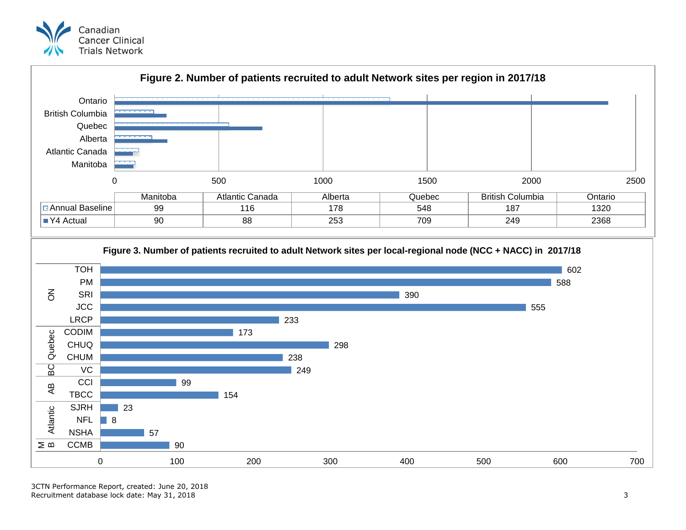





3CTN Performance Report, created: June 20, 2018 Recruitment database lock date: May 31, 2018 3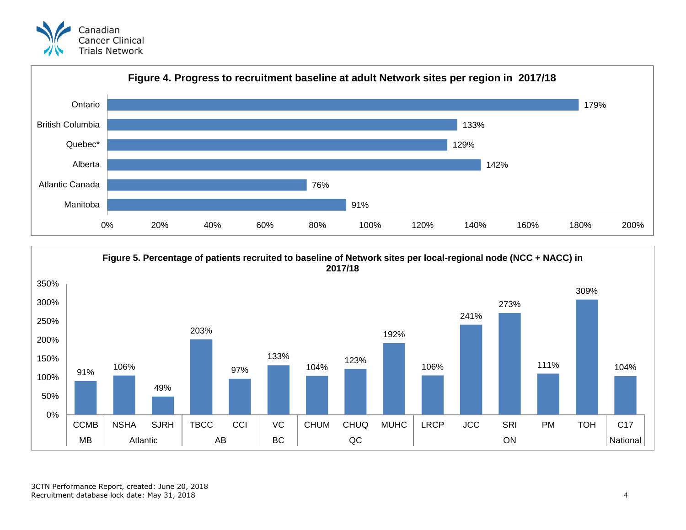



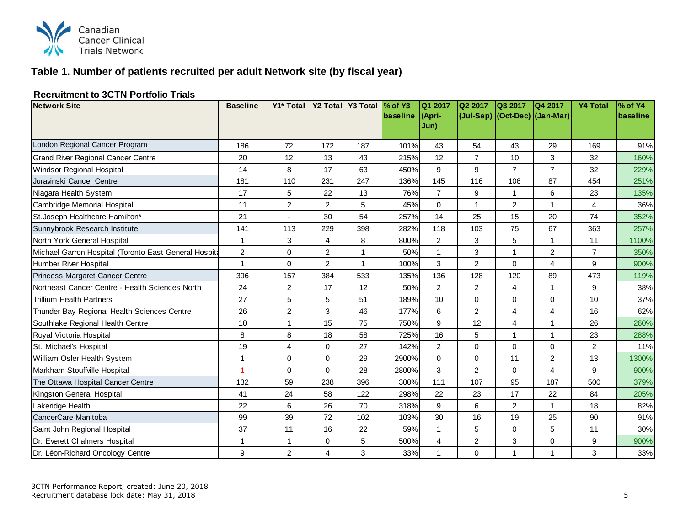

## **Table 1. Number of patients recruited per adult Network site (by fiscal year)**

#### **Recruitment to 3CTN Portfolio Trials**

| <b>Network Site</b>                                   | <b>Baseline</b> | Y1* Total                |                | Y2 Total Y3 Total | $\%$ of Y3 | IQ1 2017       | Q2 2017        | Q3 2017        | Q4 2017                       | <b>Y4 Total</b> | % of Y4  |
|-------------------------------------------------------|-----------------|--------------------------|----------------|-------------------|------------|----------------|----------------|----------------|-------------------------------|-----------------|----------|
|                                                       |                 |                          |                |                   | baseline   | (Apri-<br>Jun) |                |                | (Jul-Sep) (Oct-Dec) (Jan-Mar) |                 | baseline |
|                                                       |                 |                          |                |                   |            |                |                |                |                               |                 |          |
| London Regional Cancer Program                        | 186             | 72                       | 172            | 187               | 101%       | 43             | 54             | 43             | 29                            | 169             | 91%      |
| <b>Grand River Regional Cancer Centre</b>             | 20              | 12                       | 13             | 43                | 215%       | 12             | $\overline{7}$ | 10             | 3                             | 32              | 160%     |
| Windsor Regional Hospital                             | 14              | 8                        | 17             | 63                | 450%       | 9              | 9              | $\overline{7}$ | $\overline{7}$                | 32              | 229%     |
| Juravinski Cancer Centre                              | 181             | 110                      | 231            | 247               | 136%       | 145            | 116            | 106            | 87                            | 454             | 251%     |
| Niagara Health System                                 | 17              | 5                        | 22             | 13                | 76%        | $\overline{7}$ | 9              | 1              | 6                             | 23              | 135%     |
| Cambridge Memorial Hospital                           | 11              | $\overline{2}$           | $\overline{2}$ | 5                 | 45%        | $\Omega$       |                | $\overline{c}$ | 1                             | 4               | 36%      |
| St. Joseph Healthcare Hamilton*                       | 21              | $\overline{\phantom{a}}$ | 30             | 54                | 257%       | 14             | 25             | 15             | 20                            | 74              | 352%     |
| Sunnybrook Research Institute                         | 141             | 113                      | 229            | 398               | 282%       | 118            | 103            | 75             | 67                            | 363             | 257%     |
| North York General Hospital                           |                 | 3                        | 4              | 8                 | 800%       | $\overline{2}$ | 3              | 5              | 1                             | 11              | 1100%    |
| Michael Garron Hospital (Toronto East General Hospita | $\overline{c}$  | 0                        | $\overline{c}$ |                   | 50%        |                | 3              | 1              | $\overline{2}$                | $\overline{7}$  | 350%     |
| Humber River Hospital                                 | $\overline{1}$  | 0                        | $\overline{2}$ |                   | 100%       | 3              | $\overline{2}$ | 0              | 4                             | 9               | 900%     |
| Princess Margaret Cancer Centre                       | 396             | 157                      | 384            | 533               | 135%       | 136            | 128            | 120            | 89                            | 473             | 119%     |
| Northeast Cancer Centre - Health Sciences North       | 24              | $\overline{2}$           | 17             | 12                | 50%        | 2              | 2              | 4              | 1                             | 9               | 38%      |
| <b>Trillium Health Partners</b>                       | 27              | 5                        | 5              | 51                | 189%       | 10             | $\Omega$       | 0              | $\Omega$                      | 10              | 37%      |
| Thunder Bay Regional Health Sciences Centre           | 26              | $\overline{c}$           | 3              | 46                | 177%       | 6              | $\overline{2}$ | 4              | 4                             | 16              | 62%      |
| Southlake Regional Health Centre                      | 10              | 1                        | 15             | 75                | 750%       | 9              | 12             | 4              | 1                             | 26              | 260%     |
| Royal Victoria Hospital                               | 8               | 8                        | 18             | 58                | 725%       | 16             | 5              | 1              | $\mathbf{1}$                  | 23              | 288%     |
| St. Michael's Hospital                                | 19              | 4                        | $\mathbf 0$    | 27                | 142%       | $\overline{2}$ | $\mathbf 0$    | 0              | 0                             | $\overline{c}$  | 11%      |
| William Osler Health System                           | $\mathbf 1$     | 0                        | $\mathbf 0$    | 29                | 2900%      | $\Omega$       | $\mathbf 0$    | 11             | $\overline{2}$                | 13              | 1300%    |
| Markham Stouffville Hospital                          | 1               | 0                        | $\Omega$       | 28                | 2800%      | 3              | 2              | 0              | 4                             | 9               | 900%     |
| The Ottawa Hospital Cancer Centre                     | 132             | 59                       | 238            | 396               | 300%       | 111            | 107            | 95             | 187                           | 500             | 379%     |
| Kingston General Hospital                             | 41              | 24                       | 58             | 122               | 298%       | 22             | 23             | 17             | 22                            | 84              | 205%     |
| Lakeridge Health                                      | 22              | 6                        | 26             | 70                | 318%       | 9              | 6              | $\overline{c}$ | 1                             | 18              | 82%      |
| CancerCare Manitoba                                   | 99              | 39                       | 72             | 102               | 103%       | 30             | 16             | 19             | 25                            | 90              | 91%      |
| Saint John Regional Hospital                          | 37              | 11                       | 16             | 22                | 59%        | $\mathbf{1}$   | 5              | 0              | 5                             | 11              | 30%      |
| Dr. Everett Chalmers Hospital                         |                 | 1                        | $\Omega$       | 5                 | 500%       | $\overline{4}$ | $\overline{2}$ | 3              | $\mathbf 0$                   | 9               | 900%     |
| Dr. Léon-Richard Oncology Centre                      | 9               | $\overline{2}$           | $\overline{4}$ | 3                 | 33%        |                | $\Omega$       | 1              | 1                             | 3               | 33%      |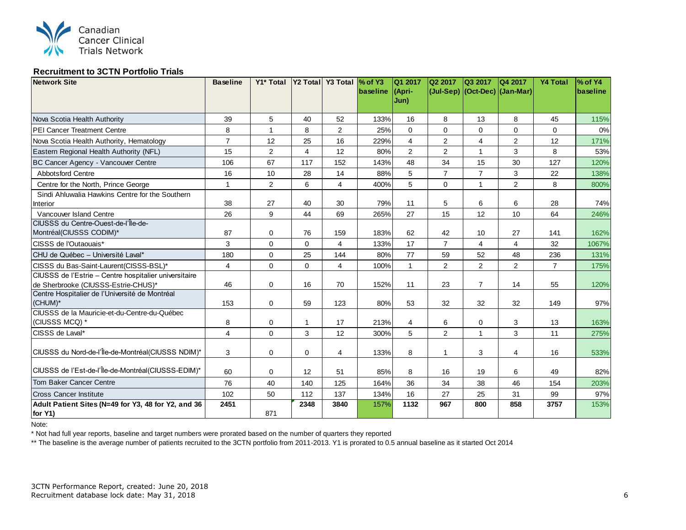

#### **Recruitment to 3CTN Portfolio Trials**

| <b>Network Site</b>                                            | <b>Baseline</b> | Y1* Total      |          | Y2 Total Y3 Total \% of Y3 |          | Q1 2017        | Q2 2017        | Q3 2017        | Q4 2017                       | <b>Y4 Total</b> | % of Y4  |
|----------------------------------------------------------------|-----------------|----------------|----------|----------------------------|----------|----------------|----------------|----------------|-------------------------------|-----------------|----------|
|                                                                |                 |                |          |                            | baseline | (Apri-<br>Jun) |                |                | (Jul-Sep) (Oct-Dec) (Jan-Mar) |                 | baseline |
| Nova Scotia Health Authority                                   | 39              | 5              | 40       | 52                         | 133%     | 16             | 8              | 13             | 8                             | 45              | 115%     |
| <b>PEI Cancer Treatment Centre</b>                             | 8               | $\mathbf{1}$   | 8        | $\overline{a}$             | 25%      | $\mathbf 0$    | $\Omega$       | $\mathbf 0$    | $\mathbf 0$                   | $\Omega$        | 0%       |
| Nova Scotia Health Authority, Hematology                       | $\overline{7}$  | 12             | 25       | 16                         | 229%     | $\overline{4}$ | $\overline{c}$ | $\overline{4}$ | $\overline{2}$                | 12              | 171%     |
| Eastern Regional Health Authority (NFL)                        | 15              | 2              | 4        | 12                         | 80%      | $\overline{2}$ | 2              | $\mathbf{1}$   | 3                             | 8               | 53%      |
| BC Cancer Agency - Vancouver Centre                            | 106             | 67             | 117      | 152                        | 143%     | 48             | 34             | 15             | 30                            | 127             | 120%     |
| <b>Abbotsford Centre</b>                                       | 16              | 10             | 28       | 14                         | 88%      | 5              | $\overline{7}$ | $\overline{7}$ | 3                             | 22              | 138%     |
| Centre for the North, Prince George                            | $\mathbf{1}$    | $\overline{2}$ | 6        | $\overline{4}$             | 400%     | 5              | $\mathbf{0}$   | 1              | $\overline{2}$                | 8               | 800%     |
| Sindi Ahluwalia Hawkins Centre for the Southern                | 38              | 27             | 40       | 30                         | 79%      | 11             | 5              | 6              | 6                             | 28              | 74%      |
| Interior<br>Vancouver Island Centre                            | 26              | 9              | 44       | 69                         | 265%     | 27             | 15             | 12             | 10                            | 64              | 246%     |
| CIUSSS du Centre-Ouest-de-l'Île-de-                            |                 |                |          |                            |          |                |                |                |                               |                 |          |
| Montréal(CIUSSS CODIM)*                                        | 87              | 0              | 76       | 159                        | 183%     | 62             | 42             | 10             | 27                            | 141             | 162%     |
| CISSS de l'Outaouais*                                          | 3               | $\mathbf 0$    | $\Omega$ | $\overline{4}$             | 133%     | 17             | $\overline{7}$ | $\overline{4}$ | $\overline{4}$                | 32              | 1067%    |
| CHU de Québec - Université Laval*                              | 180             | $\Omega$       | 25       | 144                        | 80%      | 77             | 59             | 52             | 48                            | 236             | 131%     |
| CISSS du Bas-Saint-Laurent (CISSS-BSL)*                        | 4               | $\mathbf 0$    | 0        | $\overline{4}$             | 100%     | $\mathbf{1}$   | 2              | $\overline{2}$ | 2                             | $\overline{7}$  | 175%     |
| CIUSSS de l'Estrie - Centre hospitalier universitaire          |                 |                |          |                            |          |                |                |                |                               |                 |          |
| de Sherbrooke (CIUSSS-Estrie-CHUS)*                            | 46              | $\mathbf 0$    | 16       | 70                         | 152%     | 11             | 23             | $\overline{7}$ | 14                            | 55              | 120%     |
| Centre Hospitalier de l'Université de Montréal<br>(CHUM)*      |                 |                | 59       | 123                        | 80%      | 53             | 32             | 32             | 32                            | 149             | 97%      |
| CIUSSS de la Mauricie-et-du-Centre-du-Québec                   | 153             | 0              |          |                            |          |                |                |                |                               |                 |          |
| (CIUSSS MCQ) *                                                 | 8               | $\mathbf 0$    | 1        | 17                         | 213%     | $\overline{4}$ | 6              | $\mathbf 0$    | 3                             | 13              | 163%     |
| CISSS de Laval*                                                | $\overline{4}$  | $\mathbf 0$    | 3        | 12                         | 300%     | 5              | $\overline{2}$ | $\overline{1}$ | 3                             | 11              | 275%     |
|                                                                |                 |                |          |                            |          |                |                |                |                               |                 |          |
| CIUSSS du Nord-de-l'Île-de-Montréal(CIUSSS NDIM)*              | 3               | $\mathbf 0$    | $\Omega$ | 4                          | 133%     | 8              | $\overline{1}$ | 3              | $\overline{4}$                | 16              | 533%     |
| CIUSSS de l'Est-de-l'Île-de-Montréal(CIUSSS-EDIM)*             | 60              | $\mathbf 0$    | 12       | 51                         | 85%      | 8              | 16             | 19             | 6                             | 49              | 82%      |
| <b>Tom Baker Cancer Centre</b>                                 | 76              | 40             | 140      | 125                        | 164%     | 36             | 34             | 38             | 46                            | 154             | 203%     |
| <b>Cross Cancer Institute</b>                                  | 102             | 50             | 112      | 137                        | 134%     | 16             | 27             | 25             | 31                            | 99              | 97%      |
| Adult Patient Sites (N=49 for Y3, 48 for Y2, and 36<br>for Y1) | 2451            | 871            | 2348     | 3840                       | 157%     | 1132           | 967            | 800            | 858                           | 3757            | 153%     |

Note:

\* Not had full year reports, baseline and target numbers were prorated based on the number of quarters they reported

\*\* The baseline is the average number of patients recruited to the 3CTN portfolio from 2011-2013. Y1 is prorated to 0.5 annual baseline as it started Oct 2014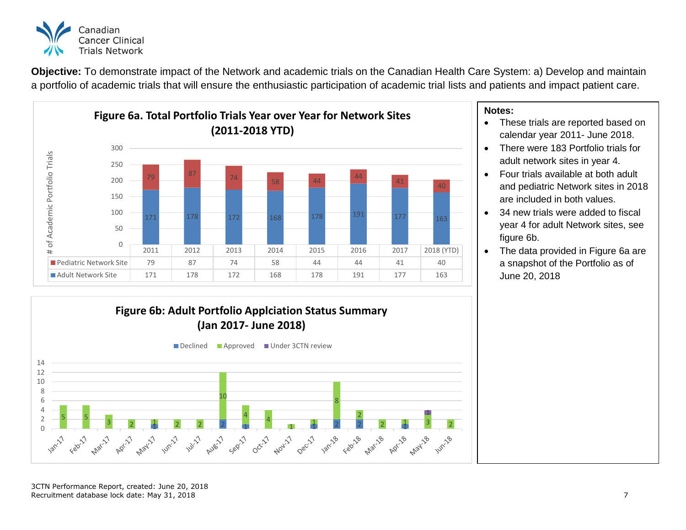

**Objective:** To demonstrate impact of the Network and academic trials on the Canadian Health Care System: a) Develop and maintain a portfolio of academic trials that will ensure the enthusiastic participation of academic trial lists and patients and impact patient care.



- These trials are reported based on calendar year 2011- June 2018.
- There were 183 Portfolio trials for adult network sites in year 4.
- Four trials available at both adult and pediatric Network sites in 2018 are included in both values.
- 34 new trials were added to fiscal year 4 for adult Network sites, see figure 6b.
- The data provided in Figure 6a are a snapshot of the Portfolio as of June 20, 2018

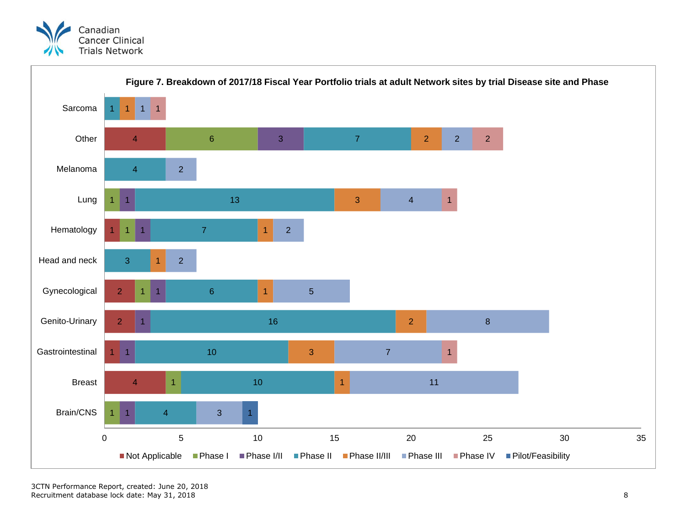

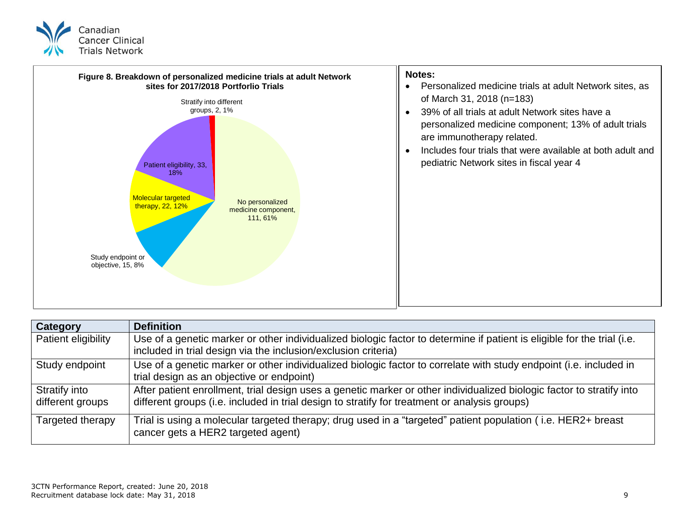



| <b>Category</b>                   | <b>Definition</b>                                                                                                                                                                                                      |
|-----------------------------------|------------------------------------------------------------------------------------------------------------------------------------------------------------------------------------------------------------------------|
| Patient eligibility               | Use of a genetic marker or other individualized biologic factor to determine if patient is eligible for the trial (i.e.<br>included in trial design via the inclusion/exclusion criteria)                              |
| Study endpoint                    | Use of a genetic marker or other individualized biologic factor to correlate with study endpoint (i.e. included in<br>trial design as an objective or endpoint)                                                        |
| Stratify into<br>different groups | After patient enrollment, trial design uses a genetic marker or other individualized biologic factor to stratify into<br>different groups (i.e. included in trial design to stratify for treatment or analysis groups) |
| Targeted therapy                  | Trial is using a molecular targeted therapy; drug used in a "targeted" patient population (i.e. HER2+ breast<br>cancer gets a HER2 targeted agent)                                                                     |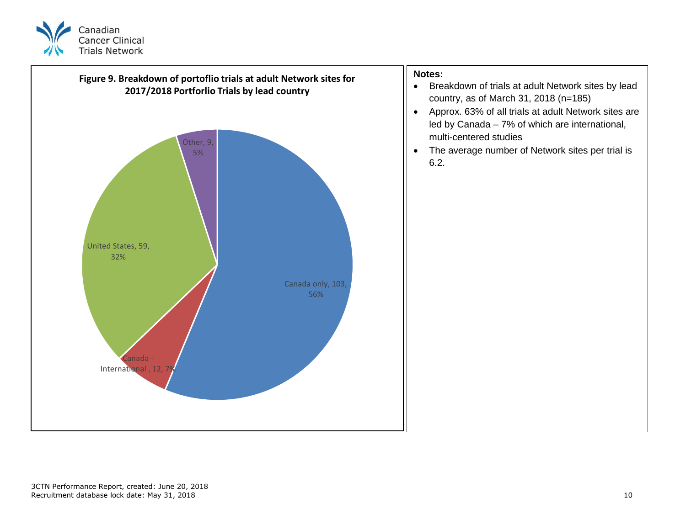

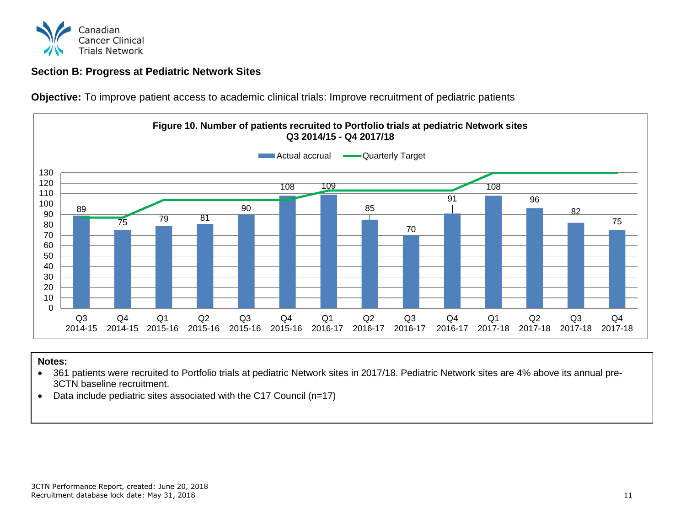

## <span id="page-11-0"></span>**Section B: Progress at Pediatric Network Sites**

**Objective:** To improve patient access to academic clinical trials: Improve recruitment of pediatric patients



- 361 patients were recruited to Portfolio trials at pediatric Network sites in 2017/18. Pediatric Network sites are 4% above its annual pre-3CTN baseline recruitment.
- Data include pediatric sites associated with the C17 Council (n=17)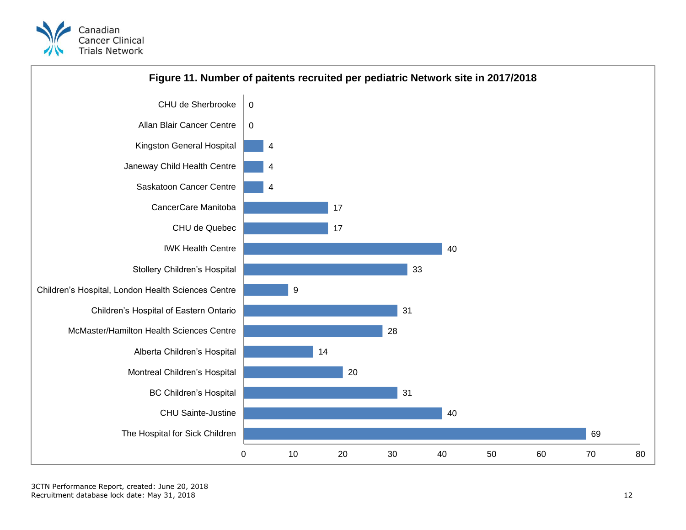



3CTN Performance Report, created: June 20, 2018 Recruitment database lock date: May 31, 2018 12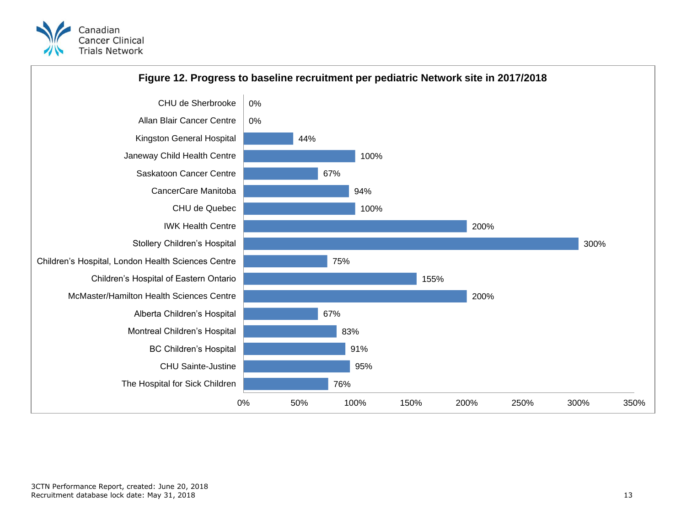

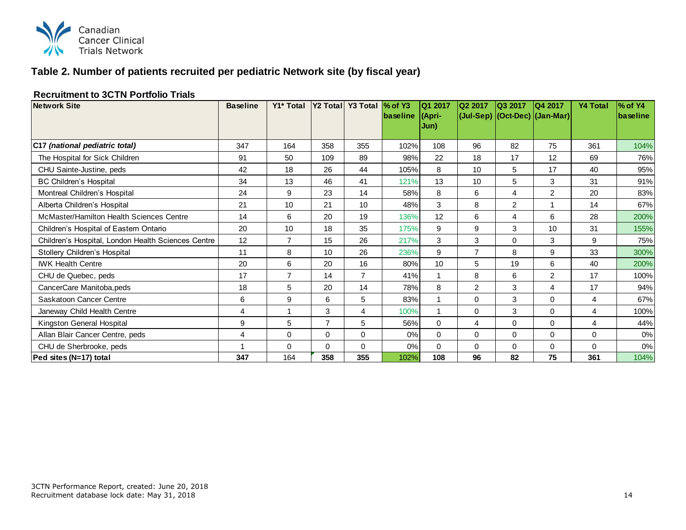

## **Table 2. Number of patients recruited per pediatric Network site (by fiscal year)**

#### **Recruitment to 3CTN Portfolio Trials**

| <b>Network Site</b>                                | <b>Baseline</b> | Y1* Total      |                | Y2 Total Y3 Total | $\%$ of Y3 | Q1 2017         | Q2 2017        | Q3 2017        | Q4 2017                       | <b>Y4 Total</b> | % of Y4         |
|----------------------------------------------------|-----------------|----------------|----------------|-------------------|------------|-----------------|----------------|----------------|-------------------------------|-----------------|-----------------|
|                                                    |                 |                |                |                   | baseline   | (Apri-          |                |                | (Jul-Sep) (Oct-Dec) (Jan-Mar) |                 | <b>baseline</b> |
|                                                    |                 |                |                |                   |            | Jun)            |                |                |                               |                 |                 |
| C17 (national pediatric total)                     | 347             | 164            | 358            | 355               | 102%       | 108             | 96             | 82             | 75                            | 361             | 104%            |
| The Hospital for Sick Children                     | 91              | 50             | 109            | 89                | 98%        | 22              | 18             | 17             | 12                            | 69              | 76%             |
| CHU Sainte-Justine, peds                           | 42              | 18             | 26             | 44                | 105%       | 8               | 10             | 5              | 17                            | 40              | 95%             |
| <b>BC Children's Hospital</b>                      | 34              | 13             | 46             | 41                | 121%       | 13              | 10             | 5              | 3                             | 31              | 91%             |
| Montreal Children's Hospital                       | 24              | 9              | 23             | 14                | 58%        | 8               | 6              | 4              | 2                             | 20              | 83%             |
| Alberta Children's Hospital                        | 21              | 10             | 21             | 10                | 48%        | 3               | 8              | $\overline{2}$ | 1                             | 14              | 67%             |
| McMaster/Hamilton Health Sciences Centre           | 14              | 6              | 20             | 19                | 136%       | 12              | 6              | 4              | 6                             | 28              | 200%            |
| Children's Hospital of Eastern Ontario             | 20              | 10             | 18             | 35                | 175%       | 9               | 9              | 3              | 10                            | 31              | 155%            |
| Children's Hospital, London Health Sciences Centre | 12              | $\overline{7}$ | 15             | 26                | 217%       | 3               | 3              | $\mathbf 0$    | 3                             | 9               | 75%             |
| Stollery Children's Hospital                       | 11              | 8              | 10             | 26                | 236%       | 9               | $\overline{7}$ | 8              | 9                             | 33              | 300%            |
| <b>IWK Health Centre</b>                           | 20              | 6              | 20             | 16                | 80%        | 10 <sup>°</sup> | 5              | 19             | 6                             | 40              | 200%            |
| CHU de Quebec, peds                                | 17              | $\overline{7}$ | 14             | $\overline{7}$    | 41%        |                 | 8              | 6              | $\overline{2}$                | 17              | 100%            |
| CancerCare Manitoba, peds                          | 18              | 5              | 20             | 14                | 78%        | 8               | $\overline{2}$ | 3              | 4                             | 17              | 94%             |
| Saskatoon Cancer Centre                            | 6               | 9              | 6              | 5                 | 83%        |                 | 0              | 3              | 0                             | 4               | 67%             |
| Janeway Child Health Centre                        | 4               | 1              | 3              | $\overline{4}$    | 100%       |                 | $\Omega$       | 3              | $\Omega$                      | 4               | 100%            |
| Kingston General Hospital                          | 9               | 5              | $\overline{7}$ | 5                 | 56%        | $\Omega$        | 4              | 0              | $\mathbf 0$                   | 4               | 44%             |
| Allan Blair Cancer Centre, peds                    | 4               | 0              | $\Omega$       | $\Omega$          | 0%         | $\Omega$        | $\Omega$       | 0              | $\Omega$                      | $\Omega$        | 0%              |
| CHU de Sherbrooke, peds                            |                 | 0              | $\Omega$       | $\Omega$          | 0%         | $\Omega$        | $\Omega$       | 0              | $\Omega$                      | $\Omega$        | 0%              |
| Ped sites (N=17) total                             | 347             | 164            | 358            | 355               | 102%       | 108             | 96             | 82             | 75                            | 361             | 104%            |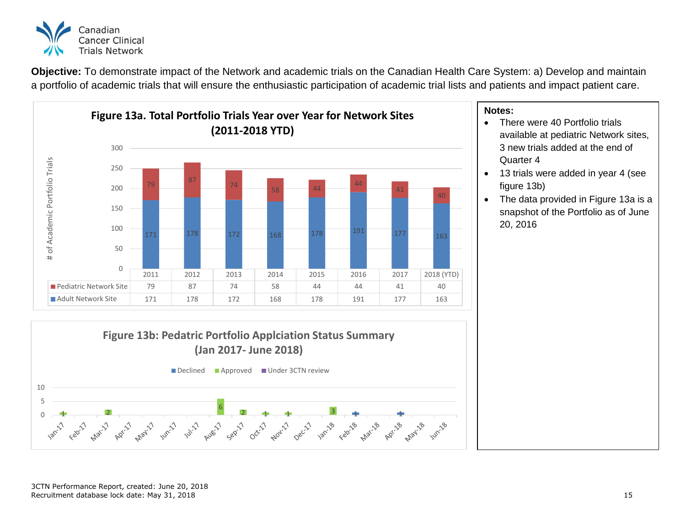

**Objective:** To demonstrate impact of the Network and academic trials on the Canadian Health Care System: a) Develop and maintain a portfolio of academic trials that will ensure the enthusiastic participation of academic trial lists and patients and impact patient care.



- There were 40 Portfolio trials available at pediatric Network sites, 3 new trials added at the end of Quarter 4
- 13 trials were added in year 4 (see figure 13b)
- The data provided in Figure 13a is a snapshot of the Portfolio as of June 20, 2016

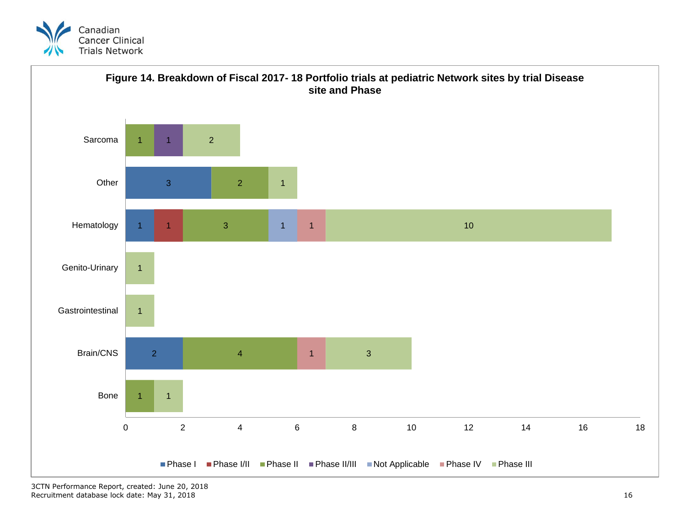

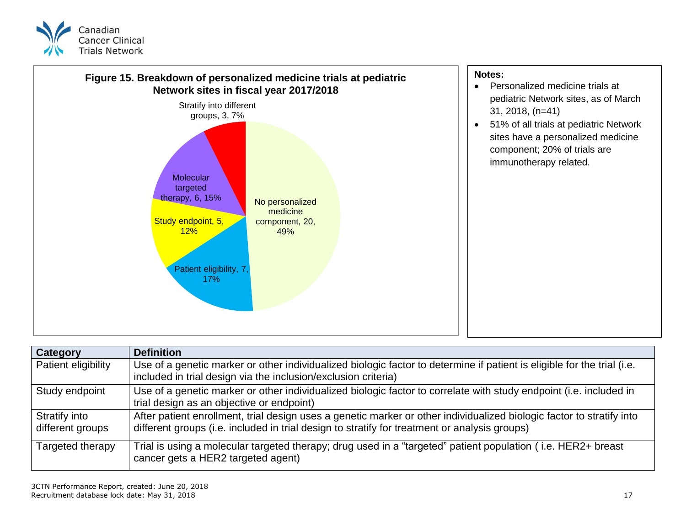



| Category                          | <b>Definition</b>                                                                                                                                                                                                      |
|-----------------------------------|------------------------------------------------------------------------------------------------------------------------------------------------------------------------------------------------------------------------|
| <b>Patient eligibility</b>        | Use of a genetic marker or other individualized biologic factor to determine if patient is eligible for the trial (i.e.<br>included in trial design via the inclusion/exclusion criteria)                              |
| Study endpoint                    | Use of a genetic marker or other individualized biologic factor to correlate with study endpoint (i.e. included in<br>trial design as an objective or endpoint)                                                        |
| Stratify into<br>different groups | After patient enrollment, trial design uses a genetic marker or other individualized biologic factor to stratify into<br>different groups (i.e. included in trial design to stratify for treatment or analysis groups) |
| Targeted therapy                  | Trial is using a molecular targeted therapy; drug used in a "targeted" patient population (i.e. HER2+ breast<br>cancer gets a HER2 targeted agent)                                                                     |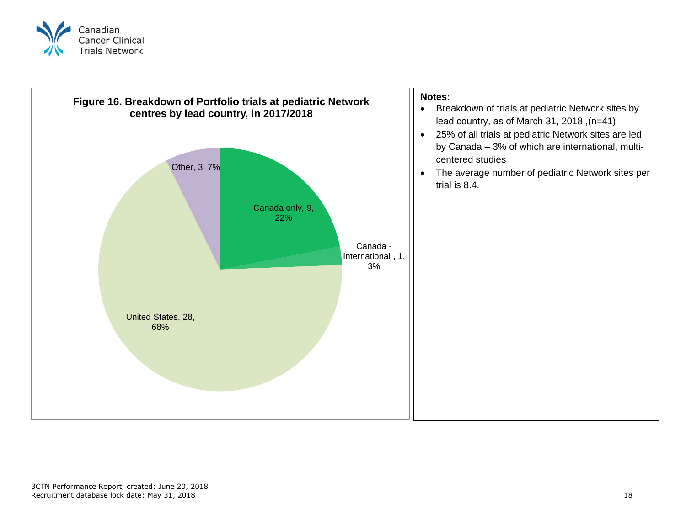

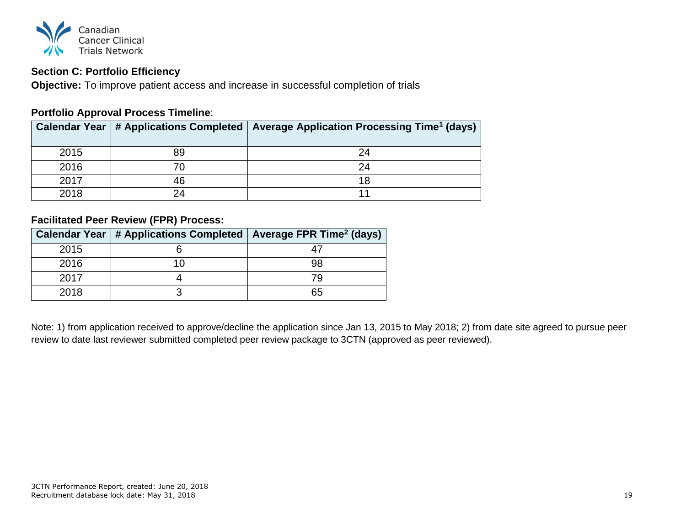

## <span id="page-19-0"></span>**Section C: Portfolio Efficiency**

**Objective:** To improve patient access and increase in successful completion of trials

## **Portfolio Approval Process Timeline**:

|      |    | Calendar Year   # Applications Completed   Average Application Processing Time <sup>1</sup> (days) |
|------|----|----------------------------------------------------------------------------------------------------|
| 2015 | 89 | 24                                                                                                 |
| 2016 | 70 | 24                                                                                                 |
| 2017 | 46 |                                                                                                    |
| 2018 | 24 |                                                                                                    |

## **Facilitated Peer Review (FPR) Process:**

|      | Calendar Year   # Applications Completed   Average FPR Time <sup>2</sup> (days) |    |
|------|---------------------------------------------------------------------------------|----|
| 2015 |                                                                                 |    |
| 2016 |                                                                                 | 98 |
| 2017 |                                                                                 | 79 |
| 2018 |                                                                                 | 65 |

Note: 1) from application received to approve/decline the application since Jan 13, 2015 to May 2018; 2) from date site agreed to pursue peer review to date last reviewer submitted completed peer review package to 3CTN (approved as peer reviewed).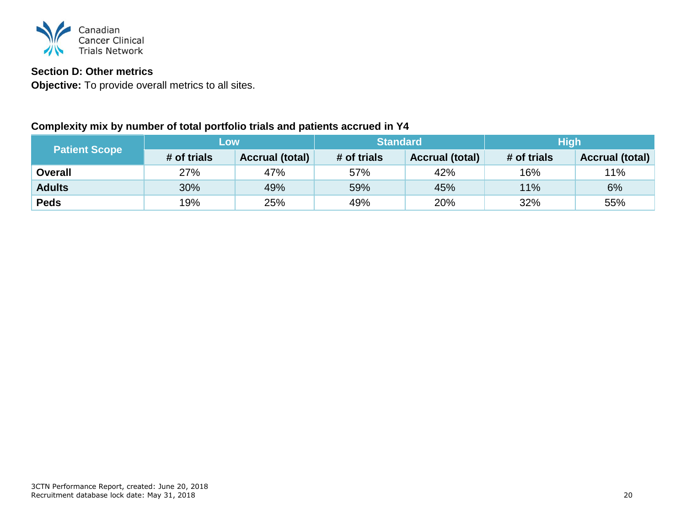

## <span id="page-20-0"></span>**Section D: Other metrics**

**Objective:** To provide overall metrics to all sites.

## **Complexity mix by number of total portfolio trials and patients accrued in Y4**

|                      | LOW         |                        | <b>Standard</b> |                        | <b>High</b> |                        |  |
|----------------------|-------------|------------------------|-----------------|------------------------|-------------|------------------------|--|
| <b>Patient Scope</b> | # of trials | <b>Accrual (total)</b> | # of trials     | <b>Accrual (total)</b> | # of trials | <b>Accrual (total)</b> |  |
| <b>Overall</b>       | 27%         | 47%                    | 57%             | 42%                    | 16%         | 11%                    |  |
| <b>Adults</b>        | 30%         | 49%                    | 59%             | 45%                    | 11%         | 6%                     |  |
| <b>Peds</b>          | 19%         | 25%                    | 49%             | 20%                    | 32%         | 55%                    |  |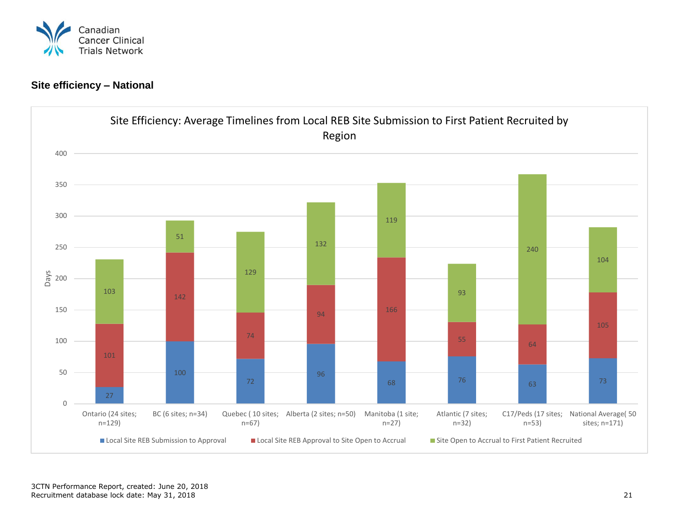

## **Site efficiency – National**

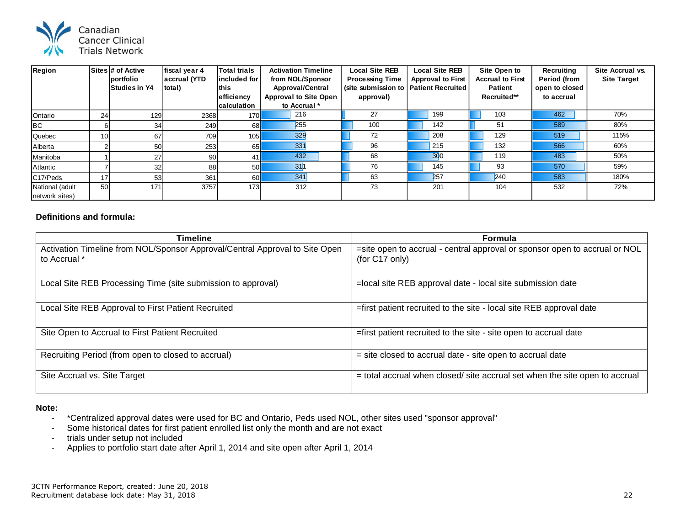

| Region                            |        | Sites # of Active<br>portfolio<br><b>Studies in Y4</b> | fiscal year 4<br>accrual (YTD<br>total) | <b>Total trials</b><br>lincluded for<br>lthis<br>efficiency<br><b>calculation</b> | <b>Activation Timeline</b><br>from NOL/Sponsor<br><b>Approval/Central</b><br><b>Approval to Site Open</b><br>to Accrual * | <b>Local Site REB</b><br><b>Processing Time</b><br>(site submission to   Patient Recruited<br>approval) | <b>Local Site REB</b><br><b>Approval to First</b> | Site Open to<br><b>Accrual to First</b><br><b>Patient</b><br>Recruited** | Recruiting<br><b>Period (from</b><br>open to closed<br>to accrual | Site Accrual vs.<br><b>Site Target</b> |
|-----------------------------------|--------|--------------------------------------------------------|-----------------------------------------|-----------------------------------------------------------------------------------|---------------------------------------------------------------------------------------------------------------------------|---------------------------------------------------------------------------------------------------------|---------------------------------------------------|--------------------------------------------------------------------------|-------------------------------------------------------------------|----------------------------------------|
| Ontario                           | 24     | 129 <sub>1</sub>                                       | 2368                                    | 170                                                                               | 216                                                                                                                       | 27                                                                                                      | 199                                               | 103                                                                      | 462                                                               | 70%                                    |
| <b>BC</b>                         | 6      | 34                                                     | 249                                     | 68l                                                                               | 255                                                                                                                       | 100                                                                                                     | 142                                               | 51                                                                       | 589                                                               | 80%                                    |
| Quebec                            | 10     | 67                                                     | 709                                     | 105                                                                               | 329                                                                                                                       | 72                                                                                                      | 208                                               | 129                                                                      | 519                                                               | 115%                                   |
| Alberta                           | $\sim$ | 50                                                     | 253                                     | 65I                                                                               | 331                                                                                                                       | 96                                                                                                      | 215                                               | 132                                                                      | 566                                                               | 60%                                    |
| Manitoba                          |        | 27                                                     | 90                                      | 41                                                                                | 432                                                                                                                       | 68                                                                                                      | 300                                               | 119                                                                      | 483                                                               | 50%                                    |
| Atlantic                          |        | 32                                                     | 88                                      | 50                                                                                | 31                                                                                                                        | 76                                                                                                      | 145                                               | 93                                                                       | 570                                                               | 59%                                    |
| C17/Peds                          | 17     | 53                                                     | 361                                     | 60                                                                                | 341                                                                                                                       | 63                                                                                                      | 257                                               | 240                                                                      | 583                                                               | 180%                                   |
| National (adult<br>network sites) | 50     | 171                                                    | 3757                                    | 173                                                                               | 312                                                                                                                       | 73                                                                                                      | 201                                               | 104                                                                      | 532                                                               | 72%                                    |

#### **Definitions and formula:**

| <b>Timeline</b>                                                                             | <b>Formula</b>                                                                               |
|---------------------------------------------------------------------------------------------|----------------------------------------------------------------------------------------------|
| Activation Timeline from NOL/Sponsor Approval/Central Approval to Site Open<br>to Accrual * | =site open to accrual - central approval or sponsor open to accrual or NOL<br>(for C17 only) |
| Local Site REB Processing Time (site submission to approval)                                | =local site REB approval date - local site submission date                                   |
| Local Site REB Approval to First Patient Recruited                                          | =first patient recruited to the site - local site REB approval date                          |
| Site Open to Accrual to First Patient Recruited                                             | =first patient recruited to the site - site open to accrual date                             |
| Recruiting Period (from open to closed to accrual)                                          | = site closed to accrual date - site open to accrual date                                    |
| Site Accrual vs. Site Target                                                                | = total accrual when closed/ site accrual set when the site open to accrual                  |

- \*Centralized approval dates were used for BC and Ontario, Peds used NOL, other sites used "sponsor approval"
- Some historical dates for first patient enrolled list only the month and are not exact
- trials under setup not included
- Applies to portfolio start date after April 1, 2014 and site open after April 1, 2014